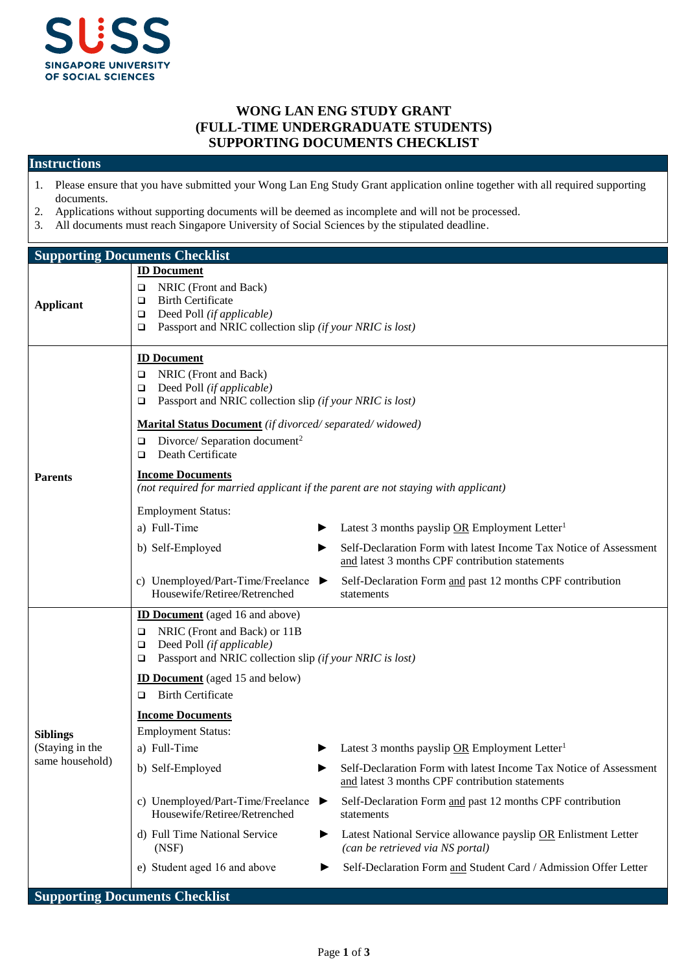

## **WONG LAN ENG STUDY GRANT (FULL-TIME UNDERGRADUATE STUDENTS) SUPPORTING DOCUMENTS CHECKLIST**

## **Instructions**

- 1. Please ensure that you have submitted your Wong Lan Eng Study Grant application online together with all required supporting documents.
- 2. Applications without supporting documents will be deemed as incomplete and will not be processed.
- 3. All documents must reach Singapore University of Social Sciences by the stipulated deadline.

| <b>Supporting Documents Checklist</b>                 |                                                                                                                                                                                                                                                                                                                                                                                                                                                                                                                                                                                                                                                                                                                                                                                                                                                                                                                                                                   |  |  |  |
|-------------------------------------------------------|-------------------------------------------------------------------------------------------------------------------------------------------------------------------------------------------------------------------------------------------------------------------------------------------------------------------------------------------------------------------------------------------------------------------------------------------------------------------------------------------------------------------------------------------------------------------------------------------------------------------------------------------------------------------------------------------------------------------------------------------------------------------------------------------------------------------------------------------------------------------------------------------------------------------------------------------------------------------|--|--|--|
| <b>Applicant</b>                                      | <b>ID Document</b><br>NRIC (Front and Back)<br>❏<br><b>Birth Certificate</b><br>❏<br>Deed Poll (if applicable)<br>□<br>Passport and NRIC collection slip (if your NRIC is lost)<br>❏                                                                                                                                                                                                                                                                                                                                                                                                                                                                                                                                                                                                                                                                                                                                                                              |  |  |  |
| <b>Parents</b>                                        | <b>ID Document</b><br>NRIC (Front and Back)<br>□<br>Deed Poll (if applicable)<br>❏<br>Passport and NRIC collection slip (if your NRIC is lost)<br>□<br>Marital Status Document (if divorced/separated/widowed)<br>Divorce/ Separation document <sup>2</sup><br>□<br>Death Certificate<br>❏<br><b>Income Documents</b><br>(not required for married applicant if the parent are not staying with applicant)<br><b>Employment Status:</b><br>a) Full-Time<br>Latest 3 months payslip OR Employment Letter <sup>1</sup><br>Self-Declaration Form with latest Income Tax Notice of Assessment<br>b) Self-Employed<br>▶<br>and latest 3 months CPF contribution statements<br>c) Unemployed/Part-Time/Freelance<br>Self-Declaration Form and past 12 months CPF contribution<br>Housewife/Retiree/Retrenched<br>statements                                                                                                                                             |  |  |  |
| <b>Siblings</b><br>(Staying in the<br>same household) | <b>ID Document</b> (aged 16 and above)<br>NRIC (Front and Back) or 11B<br>❏<br>Deed Poll (if applicable)<br>❏<br>Passport and NRIC collection slip (if your NRIC is lost)<br>❏<br><b>ID Document</b> (aged 15 and below)<br><b>Birth Certificate</b><br>□<br><b>Income Documents</b><br><b>Employment Status:</b><br>a) Full-Time<br>Latest 3 months payslip OR Employment Letter <sup>1</sup><br>b) Self-Employed<br>Self-Declaration Form with latest Income Tax Notice of Assessment<br>▶<br>and latest 3 months CPF contribution statements<br>c) Unemployed/Part-Time/Freelance<br>Self-Declaration Form and past 12 months CPF contribution<br>▶<br>Housewife/Retiree/Retrenched<br>statements<br>d) Full Time National Service<br>Latest National Service allowance payslip OR Enlistment Letter<br>▶<br>(can be retrieved via NS portal)<br>(NSF)<br>e) Student aged 16 and above<br>Self-Declaration Form and Student Card / Admission Offer Letter<br>▶ |  |  |  |
|                                                       | <b>Supporting Documents Checklist</b>                                                                                                                                                                                                                                                                                                                                                                                                                                                                                                                                                                                                                                                                                                                                                                                                                                                                                                                             |  |  |  |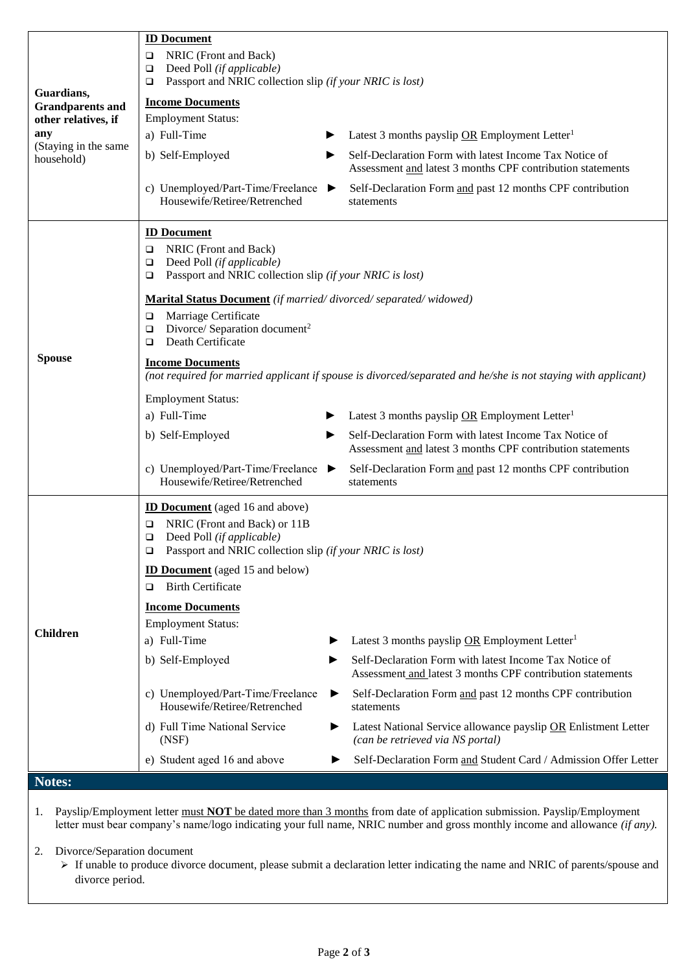| Guardians,<br><b>Grandparents and</b><br>other relatives, if<br>any<br>(Staying in the same<br>household) | <b>ID Document</b><br>NRIC (Front and Back)<br>$\Box$<br>Deed Poll (if applicable)<br>$\Box$<br>Passport and NRIC collection slip (if your NRIC is lost)<br>$\Box$<br><b>Income Documents</b><br><b>Employment Status:</b><br>a) Full-Time<br>b) Self-Employed<br>▶<br>c) Unemployed/Part-Time/Freelance ▶<br>Housewife/Retiree/Retrenched                                                                                                                                                                                   | Latest 3 months payslip OR Employment Letter <sup>1</sup><br>Self-Declaration Form with latest Income Tax Notice of<br>Assessment and latest 3 months CPF contribution statements<br>Self-Declaration Form and past 12 months CPF contribution<br>statements                                                                                                                                                                          |
|-----------------------------------------------------------------------------------------------------------|------------------------------------------------------------------------------------------------------------------------------------------------------------------------------------------------------------------------------------------------------------------------------------------------------------------------------------------------------------------------------------------------------------------------------------------------------------------------------------------------------------------------------|---------------------------------------------------------------------------------------------------------------------------------------------------------------------------------------------------------------------------------------------------------------------------------------------------------------------------------------------------------------------------------------------------------------------------------------|
| <b>Spouse</b>                                                                                             | <b>ID Document</b><br>NRIC (Front and Back)<br>□<br>Deed Poll (if applicable)<br>□<br>Passport and NRIC collection slip (if your NRIC is lost)<br>$\Box$<br><b>Marital Status Document</b> (if married/divorced/separated/widowed)<br>Marriage Certificate<br>□<br>Divorce/ Separation document <sup>2</sup><br>□<br>Death Certificate<br>▫<br><b>Income Documents</b><br><b>Employment Status:</b><br>a) Full-Time<br>b) Self-Employed<br>▶<br>c) Unemployed/Part-Time/Freelance<br>▶<br>Housewife/Retiree/Retrenched       | (not required for married applicant if spouse is divorced/separated and he/she is not staying with applicant)<br>Latest 3 months payslip OR Employment Letter <sup>1</sup><br>Self-Declaration Form with latest Income Tax Notice of<br>Assessment and latest 3 months CPF contribution statements<br>Self-Declaration Form and past 12 months CPF contribution<br>statements                                                         |
| <b>Children</b>                                                                                           | <b>ID Document</b> (aged 16 and above)<br>NRIC (Front and Back) or 11B<br>o.<br>Deed Poll (if applicable)<br>❏<br>□<br>Passport and NRIC collection slip <i>(if your NRIC is lost)</i><br><b>ID Document</b> (aged 15 and below)<br><b>Birth Certificate</b><br>o.<br><b>Income Documents</b><br><b>Employment Status:</b><br>a) Full-Time<br>▶<br>b) Self-Employed<br>c) Unemployed/Part-Time/Freelance<br>▶<br>Housewife/Retiree/Retrenched<br>d) Full Time National Service<br>▶<br>(NSF)<br>e) Student aged 16 and above | Latest 3 months payslip OR Employment Letter <sup>1</sup><br>Self-Declaration Form with latest Income Tax Notice of<br>Assessment and latest 3 months CPF contribution statements<br>Self-Declaration Form and past 12 months CPF contribution<br>statements<br>Latest National Service allowance payslip OR Enlistment Letter<br>(can be retrieved via NS portal)<br>Self-Declaration Form and Student Card / Admission Offer Letter |
| Notes:                                                                                                    |                                                                                                                                                                                                                                                                                                                                                                                                                                                                                                                              |                                                                                                                                                                                                                                                                                                                                                                                                                                       |

1. Payslip/Employment letter must **NOT** be dated more than 3 months from date of application submission. Payslip/Employment letter must bear company's name/logo indicating your full name, NRIC number and gross monthly income and allowance *(if any).*

2. Divorce/Separation document

 If unable to produce divorce document, please submit a declaration letter indicating the name and NRIC of parents/spouse and divorce period.